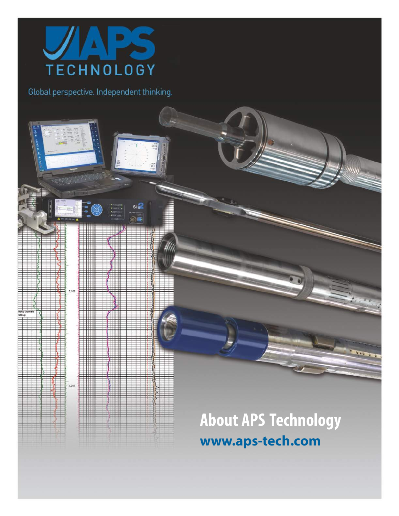

5,100

5,200

**SIU** 

## **About APS Technology www.aps-tech.com**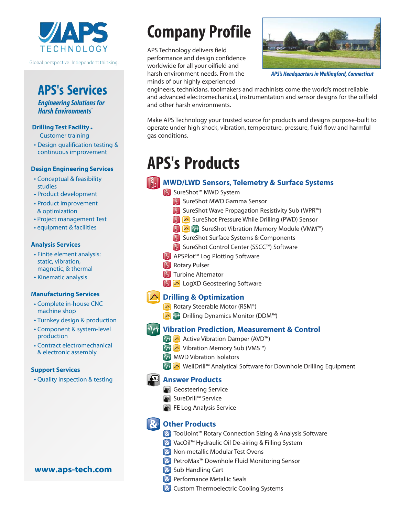

### **APS's Services**

*Engineering Solutions for Harsh Environments®*

#### **Drilling Test Facility** ◆

Customer training

◆ Design qualification testing & continuous improvement

#### **Design Engineering Services**

- ◆ Conceptual & feasibility studies
- ◆ Product development
- ◆ Product improvement & optimization
- ◆ Project management Test
- ◆ equipment & facilities

#### **Analysis Services**

- ◆ Finite element analysis: static, vibration, magnetic, & thermal
- ◆ Kinematic analysis

#### **Manufacturing Services**

- ◆ Complete in-house CNC machine shop
- ◆ Turnkey design & production
- ◆ Component & system-level production
- ◆ Contract electromechanical & electronic assembly

#### **Support Services**

◆ Quality inspection & testing

#### **www.aps-tech.com**

## **Company Profile**

APS Technology delivers field performance and design confidence worldwide for all your oilfield and harsh environment needs. From the minds of our highly experienced



*APS's Headquarters in Wallingford, Connecticut*

engineers, technicians, toolmakers and machinists come the world's most reliable and advanced electromechanical, instrumentation and sensor designs for the oilfield and other harsh environments.

Make APS Technology your trusted source for products and designs purpose-built to operate under high shock, vibration, temperature, pressure, fluid flow and harmful gas conditions.

### **APS's Products**

#### **K. MWD/LWD Sensors, Telemetry & Surface Systems**

**S** SureShot™ MWD System

- **S** SureShot MWD Gamma Sensor
- SureShot Wave Propagation Resistivity Sub (WPR™)
- S **A** SureShot Pressure While Drilling (PWD) Sensor
- **B**  $\text{M}$  M<sup>+</sup> SureShot Vibration Memory Module (VMM™)
- **SureShot Surface Systems & Components**
- SureShot Control Center (SSCC™) Software
- APSPlot™ Log Plotting Software
- **Rotary Pulser**
- **15** Turbine Alternator
- **L** LogXD Geosteering Software

#### **Drilling & Optimization**

- Rotary Steerable Motor (RSM®)
- De MH Drilling Dynamics Monitor (DDM™)

#### **Vibration Prediction, Measurement & Control**

- MH A Active Vibration Damper (AVD™)
- V<sup>I</sup> A Vibration Memory Sub (VMS™)
- **MW** MWD Vibration Isolators
- WHA WellDrill™ Analytical Software for Downhole Drilling Equipment

#### **Answer Products**

- Geosteering Service
- SureDrill™ Service
- FE Log Analysis Service

### *<u><b>S* Other Products</u>

- **&** ToolJoint™ Rotary Connection Sizing & Analysis Software
- **&** VacOil™ Hydraulic Oil De-airing & Filling System
- **R** Non-metallic Modular Test Ovens
- <sup>2</sup> PetroMax<sup>™</sup> Downhole Fluid Monitoring Sensor
- **&** Sub Handling Cart
- **&** Performance Metallic Seals
- **Re** Custom Thermoelectric Cooling Systems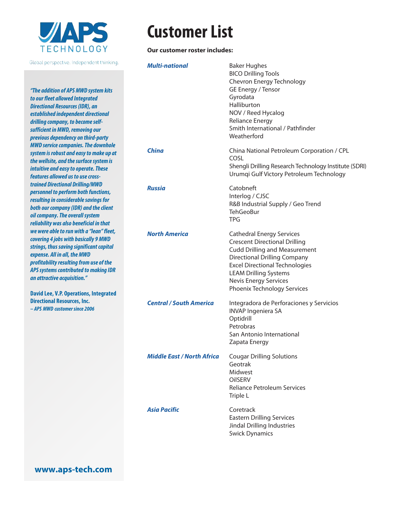

*"The addition of APS MWD system kits to our fleet allowed Integrated Directional Resources (IDR), an established independent directional drilling company, to become selfsufficient in MWD, removing our previous dependency on third-party MWD service companies. The downhole system is robust and easy to make up at the wellsite, and the surface systemis intuitive and easy to operate. These features allowed us to use crosstrained Directional Drilling/MWD personnel to perform both functions, resulting in considerable savings for both our company (IDR) and the client oil company. The overall system reliability was also beneficial in that we were able to run with a "lean" fleet, covering 4 jobs with basically 9 MWD strings, thus saving significant capital expense. All in all, the MWD profitability resulting from use of the APS systems contributed to making IDR an attractive acquisition."*

**David Lee, V.P. Operations, Integrated Directional Resources, Inc.** *– APS MWD customer since 2006*

## **Customer List**

#### **Our customer roster includes:**

| <b>Multi-national</b>             | <b>Baker Hughes</b><br><b>BICO Drilling Tools</b><br>Chevron Energy Technology<br>GE Energy / Tensor<br>Gyrodata<br>Halliburton<br>NOV / Reed Hycalog<br><b>Reliance Energy</b><br>Smith International / Pathfinder<br>Weatherford                                                              |
|-----------------------------------|-------------------------------------------------------------------------------------------------------------------------------------------------------------------------------------------------------------------------------------------------------------------------------------------------|
| <b>China</b>                      | China National Petroleum Corporation / CPL<br>COSL<br>Shengli Drilling Research Technology Institute (SDRI)<br>Urumqi Gulf Victory Petroleum Technology                                                                                                                                         |
| <b>Russia</b>                     | Catobneft<br>Interlog / CJSC<br>R&B Industrial Supply / Geo Trend<br><b>TehGeoBur</b><br><b>TPG</b>                                                                                                                                                                                             |
| <b>North America</b>              | <b>Cathedral Energy Services</b><br><b>Crescent Directional Drilling</b><br><b>Cudd Drilling and Measurement</b><br><b>Directional Drilling Company</b><br><b>Excel Directional Technologies</b><br><b>LEAM Drilling Systems</b><br><b>Nevis Energy Services</b><br>Phoenix Technology Services |
| <b>Central / South America</b>    | Integradora de Perforaciones y Servicios<br><b>INVAP Ingeniera SA</b><br>Optidrill<br>Petrobras<br>San Antonio International<br>Zapata Energy                                                                                                                                                   |
| <b>Middle East / North Africa</b> | <b>Cougar Drilling Solutions</b><br>Geotrak<br>Midwest<br><b>OIISERV</b><br><b>Reliance Petroleum Services</b><br>Triple L                                                                                                                                                                      |
| <b>Asia Pacific</b>               | Coretrack<br><b>Eastern Drilling Services</b><br>Jindal Drilling Industries<br><b>Swick Dynamics</b>                                                                                                                                                                                            |

**www.aps-tech.com**